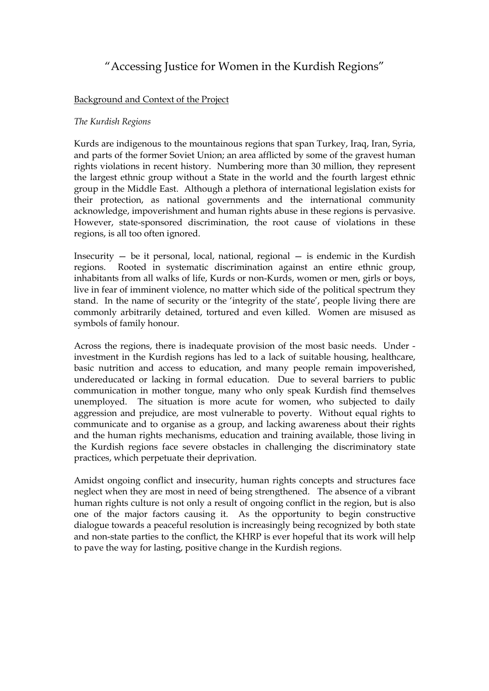# "Accessing Justice for Women in the Kurdish Regions"

### Background and Context of the Project

#### The Kurdish Regions

Kurds are indigenous to the mountainous regions that span Turkey, Iraq, Iran, Syria, and parts of the former Soviet Union; an area afflicted by some of the gravest human rights violations in recent history. Numbering more than 30 million, they represent the largest ethnic group without a State in the world and the fourth largest ethnic group in the Middle East. Although a plethora of international legislation exists for their protection, as national governments and the international community acknowledge, impoverishment and human rights abuse in these regions is pervasive. However, state-sponsored discrimination, the root cause of violations in these regions, is all too often ignored.

Insecurity  $-$  be it personal, local, national, regional  $-$  is endemic in the Kurdish regions. Rooted in systematic discrimination against an entire ethnic group, inhabitants from all walks of life, Kurds or non-Kurds, women or men, girls or boys, live in fear of imminent violence, no matter which side of the political spectrum they stand. In the name of security or the 'integrity of the state', people living there are commonly arbitrarily detained, tortured and even killed. Women are misused as symbols of family honour.

Across the regions, there is inadequate provision of the most basic needs. Under investment in the Kurdish regions has led to a lack of suitable housing, healthcare, basic nutrition and access to education, and many people remain impoverished, undereducated or lacking in formal education. Due to several barriers to public communication in mother tongue, many who only speak Kurdish find themselves unemployed. The situation is more acute for women, who subjected to daily aggression and prejudice, are most vulnerable to poverty. Without equal rights to communicate and to organise as a group, and lacking awareness about their rights and the human rights mechanisms, education and training available, those living in the Kurdish regions face severe obstacles in challenging the discriminatory state practices, which perpetuate their deprivation.

Amidst ongoing conflict and insecurity, human rights concepts and structures face neglect when they are most in need of being strengthened. The absence of a vibrant human rights culture is not only a result of ongoing conflict in the region, but is also one of the major factors causing it. As the opportunity to begin constructive dialogue towards a peaceful resolution is increasingly being recognized by both state and non-state parties to the conflict, the KHRP is ever hopeful that its work will help to pave the way for lasting, positive change in the Kurdish regions.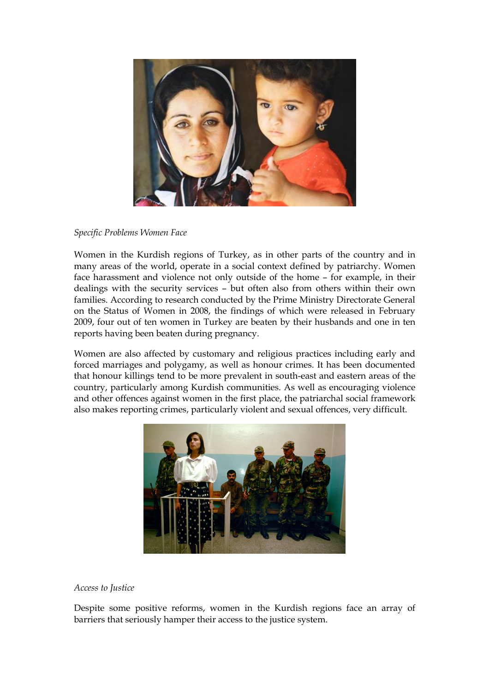

#### Specific Problems Women Face

Women in the Kurdish regions of Turkey, as in other parts of the country and in many areas of the world, operate in a social context defined by patriarchy. Women face harassment and violence not only outside of the home – for example, in their dealings with the security services – but often also from others within their own families. According to research conducted by the Prime Ministry Directorate General on the Status of Women in 2008, the findings of which were released in February 2009, four out of ten women in Turkey are beaten by their husbands and one in ten reports having been beaten during pregnancy.

Women are also affected by customary and religious practices including early and forced marriages and polygamy, as well as honour crimes. It has been documented that honour killings tend to be more prevalent in south-east and eastern areas of the country, particularly among Kurdish communities. As well as encouraging violence and other offences against women in the first place, the patriarchal social framework also makes reporting crimes, particularly violent and sexual offences, very difficult.



#### Access to Justice

Despite some positive reforms, women in the Kurdish regions face an array of barriers that seriously hamper their access to the justice system.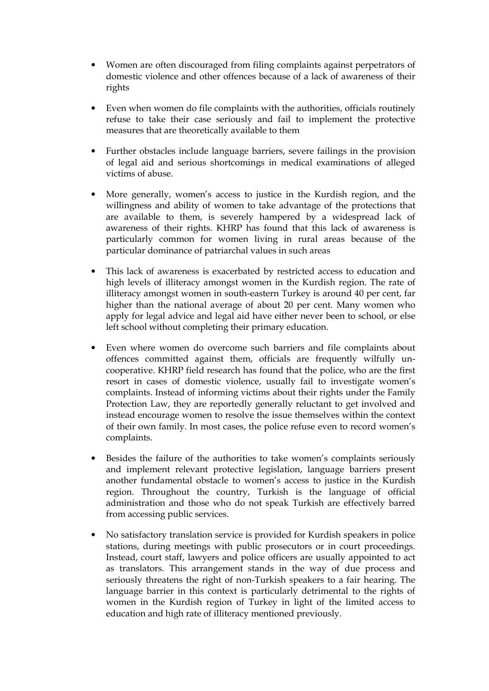- Women are often discouraged from filing complaints against perpetrators of domestic violence and other offences because of a lack of awareness of their rights
- Even when women do file complaints with the authorities, officials routinely refuse to take their case seriously and fail to implement the protective measures that are theoretically available to them
- Further obstacles include language barriers, severe failings in the provision of legal aid and serious shortcomings in medical examinations of alleged victims of abuse.
- More generally, women's access to justice in the Kurdish region, and the willingness and ability of women to take advantage of the protections that are available to them, is severely hampered by a widespread lack of awareness of their rights. KHRP has found that this lack of awareness is particularly common for women living in rural areas because of the particular dominance of patriarchal values in such areas
- This lack of awareness is exacerbated by restricted access to education and high levels of illiteracy amongst women in the Kurdish region. The rate of illiteracy amongst women in south-eastern Turkey is around 40 per cent, far higher than the national average of about 20 per cent. Many women who apply for legal advice and legal aid have either never been to school, or else left school without completing their primary education.
- Even where women do overcome such barriers and file complaints about offences committed against them, officials are frequently wilfully uncooperative. KHRP field research has found that the police, who are the first resort in cases of domestic violence, usually fail to investigate women's complaints. Instead of informing victims about their rights under the Family Protection Law, they are reportedly generally reluctant to get involved and instead encourage women to resolve the issue themselves within the context of their own family. In most cases, the police refuse even to record women's complaints.
- Besides the failure of the authorities to take women's complaints seriously and implement relevant protective legislation, language barriers present another fundamental obstacle to women's access to justice in the Kurdish region. Throughout the country, Turkish is the language of official administration and those who do not speak Turkish are effectively barred from accessing public services.
- No satisfactory translation service is provided for Kurdish speakers in police stations, during meetings with public prosecutors or in court proceedings. Instead, court staff, lawyers and police officers are usually appointed to act as translators. This arrangement stands in the way of due process and seriously threatens the right of non-Turkish speakers to a fair hearing. The language barrier in this context is particularly detrimental to the rights of women in the Kurdish region of Turkey in light of the limited access to education and high rate of illiteracy mentioned previously.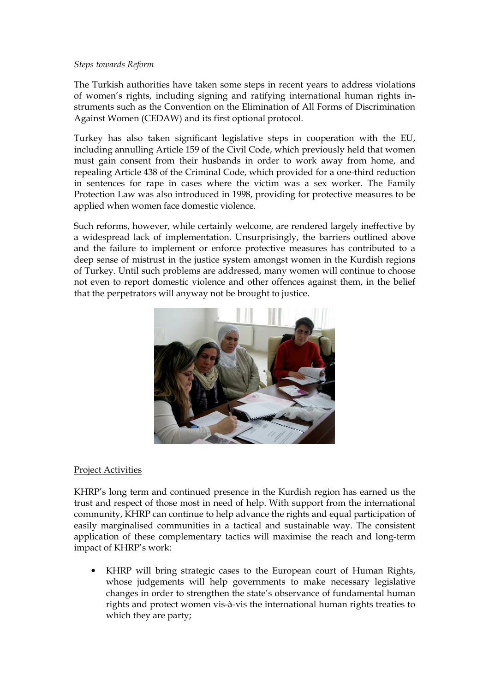#### Steps towards Reform

The Turkish authorities have taken some steps in recent years to address violations of women's rights, including signing and ratifying international human rights instruments such as the Convention on the Elimination of All Forms of Discrimination Against Women (CEDAW) and its first optional protocol.

Turkey has also taken significant legislative steps in cooperation with the EU, including annulling Article 159 of the Civil Code, which previously held that women must gain consent from their husbands in order to work away from home, and repealing Article 438 of the Criminal Code, which provided for a one-third reduction in sentences for rape in cases where the victim was a sex worker. The Family Protection Law was also introduced in 1998, providing for protective measures to be applied when women face domestic violence.

Such reforms, however, while certainly welcome, are rendered largely ineffective by a widespread lack of implementation. Unsurprisingly, the barriers outlined above and the failure to implement or enforce protective measures has contributed to a deep sense of mistrust in the justice system amongst women in the Kurdish regions of Turkey. Until such problems are addressed, many women will continue to choose not even to report domestic violence and other offences against them, in the belief that the perpetrators will anyway not be brought to justice.



## Project Activities

KHRP's long term and continued presence in the Kurdish region has earned us the trust and respect of those most in need of help. With support from the international community, KHRP can continue to help advance the rights and equal participation of easily marginalised communities in a tactical and sustainable way. The consistent application of these complementary tactics will maximise the reach and long-term impact of KHRP's work:

• KHRP will bring strategic cases to the European court of Human Rights, whose judgements will help governments to make necessary legislative changes in order to strengthen the state's observance of fundamental human rights and protect women vis-à-vis the international human rights treaties to which they are party;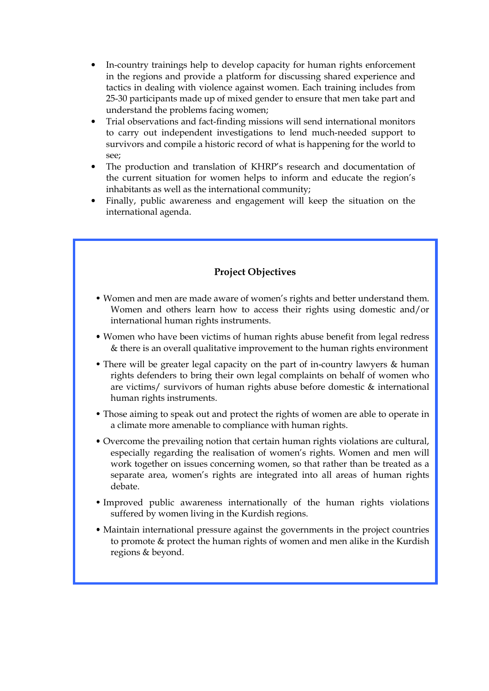- In-country trainings help to develop capacity for human rights enforcement in the regions and provide a platform for discussing shared experience and tactics in dealing with violence against women. Each training includes from 25-30 participants made up of mixed gender to ensure that men take part and understand the problems facing women;
- Trial observations and fact-finding missions will send international monitors to carry out independent investigations to lend much-needed support to survivors and compile a historic record of what is happening for the world to see;
- The production and translation of KHRP's research and documentation of the current situation for women helps to inform and educate the region's inhabitants as well as the international community;
- Finally, public awareness and engagement will keep the situation on the international agenda.

# Project Objectives

- Women and men are made aware of women's rights and better understand them. Women and others learn how to access their rights using domestic and/or international human rights instruments.
- Women who have been victims of human rights abuse benefit from legal redress & there is an overall qualitative improvement to the human rights environment
- There will be greater legal capacity on the part of in-country lawyers & human rights defenders to bring their own legal complaints on behalf of women who are victims/ survivors of human rights abuse before domestic & international human rights instruments.
- Those aiming to speak out and protect the rights of women are able to operate in a climate more amenable to compliance with human rights.
- Overcome the prevailing notion that certain human rights violations are cultural, especially regarding the realisation of women's rights. Women and men will work together on issues concerning women, so that rather than be treated as a separate area, women's rights are integrated into all areas of human rights debate.
- Improved public awareness internationally of the human rights violations suffered by women living in the Kurdish regions.
- Maintain international pressure against the governments in the project countries to promote & protect the human rights of women and men alike in the Kurdish regions & beyond.